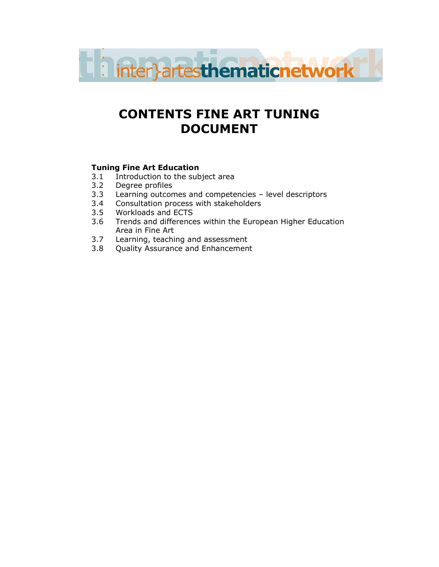

# CONTENTS FINE ART TUNING DOCUMENT

## Tuning Fine Art Education

- 3.1 Introduction to the subject area
- 3.2 Degree profiles<br>3.3 Learning outcon
- Learning outcomes and competencies level descriptors
- 3.4 Consultation process with stakeholders<br>3.5 Workloads and ECTS
- 3.5 Workloads and ECTS
- 3.6 Trends and differences within the European Higher Education Area in Fine Art
- 3.7 Learning, teaching and assessment<br>3.8 Ouality Assurance and Enhancement
- Quality Assurance and Enhancement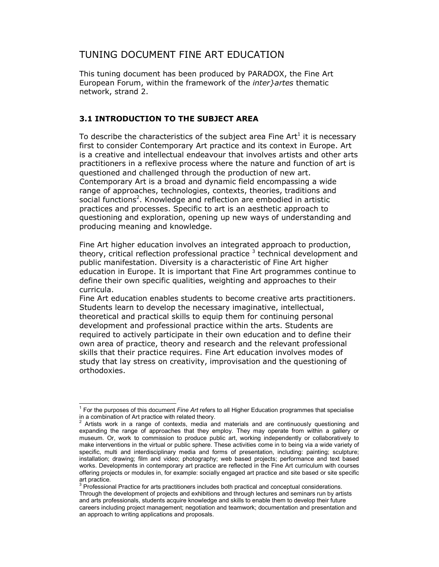## TUNING DOCUMENT FINE ART EDUCATION

This tuning document has been produced by PARADOX, the Fine Art European Forum, within the framework of the *inter artes* thematic network, strand 2.

#### 3.1 INTRODUCTION TO THE SUBJECT AREA

To describe the characteristics of the subject area Fine  $Art<sup>1</sup>$  it is necessary first to consider Contemporary Art practice and its context in Europe. Art is a creative and intellectual endeavour that involves artists and other arts practitioners in a reflexive process where the nature and function of art is questioned and challenged through the production of new art. Contemporary Art is a broad and dynamic field encompassing a wide range of approaches, technologies, contexts, theories, traditions and social functions<sup>2</sup>. Knowledge and reflection are embodied in artistic practices and processes. Specific to art is an aesthetic approach to questioning and exploration, opening up new ways of understanding and producing meaning and knowledge.

Fine Art higher education involves an integrated approach to production, theory, critical reflection professional practice  $^3$  technical development and public manifestation. Diversity is a characteristic of Fine Art higher education in Europe. It is important that Fine Art programmes continue to define their own specific qualities, weighting and approaches to their curricula.

Fine Art education enables students to become creative arts practitioners. Students learn to develop the necessary imaginative, intellectual, theoretical and practical skills to equip them for continuing personal development and professional practice within the arts. Students are required to actively participate in their own education and to define their own area of practice, theory and research and the relevant professional skills that their practice requires. Fine Art education involves modes of study that lay stress on creativity, improvisation and the questioning of orthodoxies.

<sup>&</sup>lt;sup>1</sup> For the purposes of this document Fine Art refers to all Higher Education programmes that specialise in a combination of Art practice with related theory.<br><sup>2</sup>. Artists work in a range of contexts, modia an

Artists work in a range of contexts, media and materials and are continuously questioning and expanding the range of approaches that they employ. They may operate from within a gallery or museum. Or, work to commission to produce public art, working independently or collaboratively to make interventions in the virtual or public sphere. These activities come in to being via a wide variety of specific, multi and interdisciplinary media and forms of presentation, including: painting; sculpture; installation; drawing; film and video; photography; web based projects; performance and text based works. Developments in contemporary art practice are reflected in the Fine Art curriculum with courses offering projects or modules in, for example: socially engaged art practice and site based or site specific art practice.

 $3$  Professional Practice for arts practitioners includes both practical and conceptual considerations. Through the development of projects and exhibitions and through lectures and seminars run by artists and arts professionals, students acquire knowledge and skills to enable them to develop their future careers including project management; negotiation and teamwork; documentation and presentation and an approach to writing applications and proposals.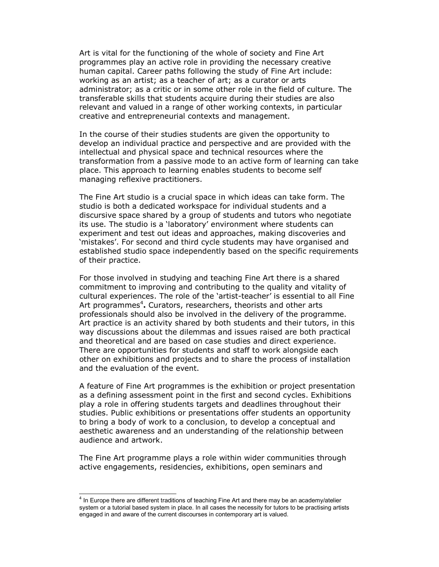Art is vital for the functioning of the whole of society and Fine Art programmes play an active role in providing the necessary creative human capital. Career paths following the study of Fine Art include: working as an artist; as a teacher of art; as a curator or arts administrator; as a critic or in some other role in the field of culture. The transferable skills that students acquire during their studies are also relevant and valued in a range of other working contexts, in particular creative and entrepreneurial contexts and management.

In the course of their studies students are given the opportunity to develop an individual practice and perspective and are provided with the intellectual and physical space and technical resources where the transformation from a passive mode to an active form of learning can take place. This approach to learning enables students to become self managing reflexive practitioners.

The Fine Art studio is a crucial space in which ideas can take form. The studio is both a dedicated workspace for individual students and a discursive space shared by a group of students and tutors who negotiate its use. The studio is a 'laboratory' environment where students can experiment and test out ideas and approaches, making discoveries and 'mistakes'. For second and third cycle students may have organised and established studio space independently based on the specific requirements of their practice.

For those involved in studying and teaching Fine Art there is a shared commitment to improving and contributing to the quality and vitality of cultural experiences. The role of the 'artist-teacher' is essential to all Fine Art programmes<sup>4</sup>. Curators, researchers, theorists and other arts professionals should also be involved in the delivery of the programme. Art practice is an activity shared by both students and their tutors, in this way discussions about the dilemmas and issues raised are both practical and theoretical and are based on case studies and direct experience. There are opportunities for students and staff to work alongside each other on exhibitions and projects and to share the process of installation and the evaluation of the event.

A feature of Fine Art programmes is the exhibition or project presentation as a defining assessment point in the first and second cycles. Exhibitions play a role in offering students targets and deadlines throughout their studies. Public exhibitions or presentations offer students an opportunity to bring a body of work to a conclusion, to develop a conceptual and aesthetic awareness and an understanding of the relationship between audience and artwork.

The Fine Art programme plays a role within wider communities through active engagements, residencies, exhibitions, open seminars and

<sup>&</sup>lt;sup>4</sup> In Europe there are different traditions of teaching Fine Art and there may be an academy/atelier system or a tutorial based system in place. In all cases the necessity for tutors to be practising artists engaged in and aware of the current discourses in contemporary art is valued.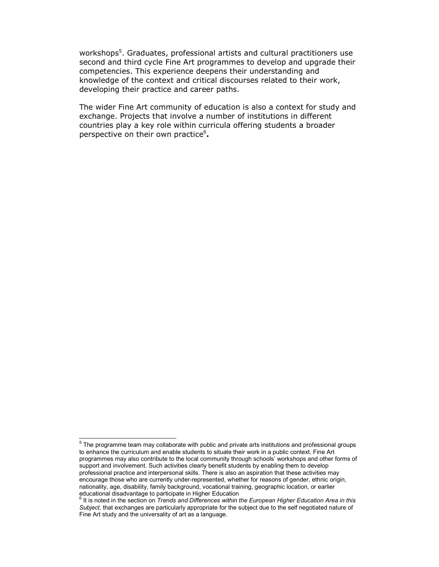workshops<sup>5</sup>. Graduates, professional artists and cultural practitioners use second and third cycle Fine Art programmes to develop and upgrade their competencies. This experience deepens their understanding and knowledge of the context and critical discourses related to their work, developing their practice and career paths.

The wider Fine Art community of education is also a context for study and exchange. Projects that involve a number of institutions in different countries play a key role within curricula offering students a broader perspective on their own practice<sup>6</sup>.

 $5$  The programme team may collaborate with public and private arts institutions and professional groups to enhance the curriculum and enable students to situate their work in a public context. Fine Art programmes may also contribute to the local community through schools' workshops and other forms of support and involvement. Such activities clearly benefit students by enabling them to develop professional practice and interpersonal skills. There is also an aspiration that these activities may encourage those who are currently under-represented, whether for reasons of gender, ethnic origin, nationality, age, disability, family background, vocational training, geographic location, or earlier educational disadvantage to participate in Higher Education

 $^6$  It is noted in the section on *Trends and Differences within the European Higher Education Area in this* Subject, that exchanges are particularly appropriate for the subject due to the self negotiated nature of Fine Art study and the universality of art as a language.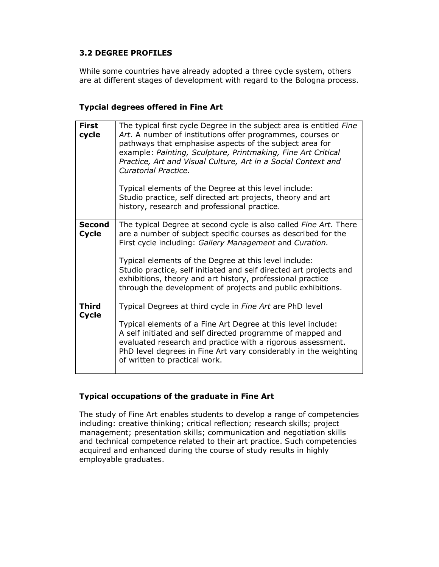#### 3.2 DEGREE PROFILES

While some countries have already adopted a three cycle system, others are at different stages of development with regard to the Bologna process.

#### Typcial degrees offered in Fine Art

| <b>First</b><br>cycle         | The typical first cycle Degree in the subject area is entitled Fine<br>Art. A number of institutions offer programmes, courses or<br>pathways that emphasise aspects of the subject area for<br>example: Painting, Sculpture, Printmaking, Fine Art Critical<br>Practice, Art and Visual Culture, Art in a Social Context and<br>Curatorial Practice.<br>Typical elements of the Degree at this level include:<br>Studio practice, self directed art projects, theory and art<br>history, research and professional practice. |
|-------------------------------|-------------------------------------------------------------------------------------------------------------------------------------------------------------------------------------------------------------------------------------------------------------------------------------------------------------------------------------------------------------------------------------------------------------------------------------------------------------------------------------------------------------------------------|
| <b>Second</b><br><b>Cycle</b> | The typical Degree at second cycle is also called <i>Fine Art</i> . There<br>are a number of subject specific courses as described for the<br>First cycle including: Gallery Management and Curation.<br>Typical elements of the Degree at this level include:<br>Studio practice, self initiated and self directed art projects and<br>exhibitions, theory and art history, professional practice<br>through the development of projects and public exhibitions.                                                             |
| <b>Third</b><br><b>Cycle</b>  | Typical Degrees at third cycle in Fine Art are PhD level<br>Typical elements of a Fine Art Degree at this level include:<br>A self initiated and self directed programme of mapped and<br>evaluated research and practice with a rigorous assessment.<br>PhD level degrees in Fine Art vary considerably in the weighting<br>of written to practical work.                                                                                                                                                                    |

## Typical occupations of the graduate in Fine Art

The study of Fine Art enables students to develop a range of competencies including: creative thinking; critical reflection; research skills; project management; presentation skills; communication and negotiation skills and technical competence related to their art practice. Such competencies acquired and enhanced during the course of study results in highly employable graduates.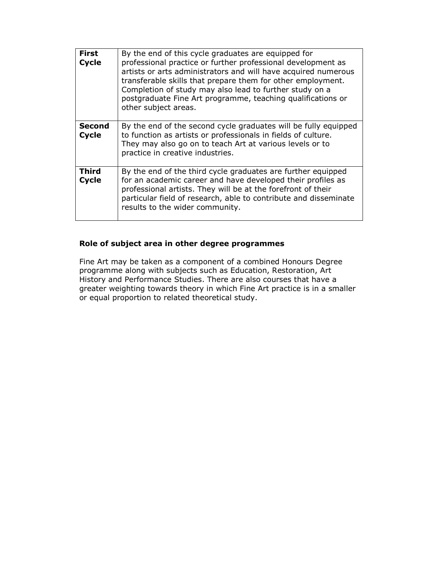| <b>First</b><br><b>Cycle</b>  | By the end of this cycle graduates are equipped for<br>professional practice or further professional development as<br>artists or arts administrators and will have acquired numerous<br>transferable skills that prepare them for other employment.<br>Completion of study may also lead to further study on a<br>postgraduate Fine Art programme, teaching qualifications or<br>other subject areas. |
|-------------------------------|--------------------------------------------------------------------------------------------------------------------------------------------------------------------------------------------------------------------------------------------------------------------------------------------------------------------------------------------------------------------------------------------------------|
| <b>Second</b><br><b>Cycle</b> | By the end of the second cycle graduates will be fully equipped<br>to function as artists or professionals in fields of culture.<br>They may also go on to teach Art at various levels or to<br>practice in creative industries.                                                                                                                                                                       |
| Third<br><b>Cycle</b>         | By the end of the third cycle graduates are further equipped<br>for an academic career and have developed their profiles as<br>professional artists. They will be at the forefront of their<br>particular field of research, able to contribute and disseminate<br>results to the wider community.                                                                                                     |

## Role of subject area in other degree programmes

Fine Art may be taken as a component of a combined Honours Degree programme along with subjects such as Education, Restoration, Art History and Performance Studies. There are also courses that have a greater weighting towards theory in which Fine Art practice is in a smaller or equal proportion to related theoretical study.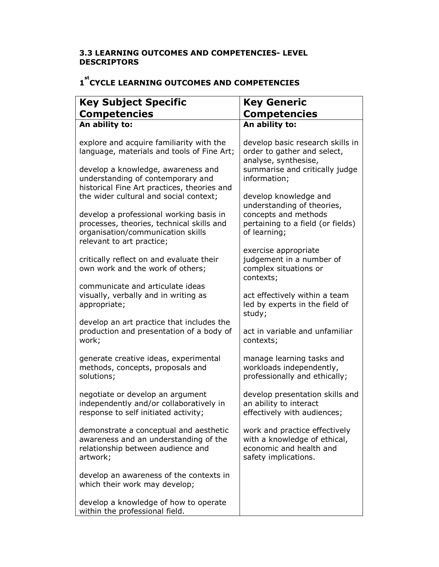## 3.3 LEARNING OUTCOMES AND COMPETENCIES- LEVEL DESCRIPTORS

# 1<sup>st</sup> CYCLE LEARNING OUTCOMES AND COMPETENCIES

| <b>Key Subject Specific</b>                                                                                                                                       | <b>Key Generic</b>                                                                                                                        |
|-------------------------------------------------------------------------------------------------------------------------------------------------------------------|-------------------------------------------------------------------------------------------------------------------------------------------|
| <b>Competencies</b>                                                                                                                                               | <b>Competencies</b>                                                                                                                       |
| An ability to:                                                                                                                                                    | An ability to:                                                                                                                            |
| explore and acquire familiarity with the<br>language, materials and tools of Fine Art;<br>develop a knowledge, awareness and<br>understanding of contemporary and | develop basic research skills in<br>order to gather and select,<br>analyse, synthesise,<br>summarise and critically judge<br>information; |
| historical Fine Art practices, theories and<br>the wider cultural and social context;                                                                             | develop knowledge and<br>understanding of theories,                                                                                       |
| develop a professional working basis in<br>processes, theories, technical skills and<br>organisation/communication skills<br>relevant to art practice;            | concepts and methods<br>pertaining to a field (or fields)<br>of learning;                                                                 |
| critically reflect on and evaluate their<br>own work and the work of others;                                                                                      | exercise appropriate<br>judgement in a number of<br>complex situations or<br>contexts;                                                    |
| communicate and articulate ideas<br>visually, verbally and in writing as<br>appropriate;                                                                          | act effectively within a team<br>led by experts in the field of<br>study;                                                                 |
| develop an art practice that includes the<br>production and presentation of a body of<br>work;                                                                    | act in variable and unfamiliar<br>contexts;                                                                                               |
| generate creative ideas, experimental<br>methods, concepts, proposals and<br>solutions;                                                                           | manage learning tasks and<br>workloads independently,<br>professionally and ethically;                                                    |
| negotiate or develop an argument<br>independently and/or collaboratively in<br>response to self initiated activity;                                               | develop presentation skills and<br>an ability to interact<br>effectively with audiences;                                                  |
| demonstrate a conceptual and aesthetic<br>awareness and an understanding of the<br>relationship between audience and<br>artwork;                                  | work and practice effectively<br>with a knowledge of ethical,<br>economic and health and<br>safety implications.                          |
| develop an awareness of the contexts in<br>which their work may develop;                                                                                          |                                                                                                                                           |
| develop a knowledge of how to operate<br>within the professional field.                                                                                           |                                                                                                                                           |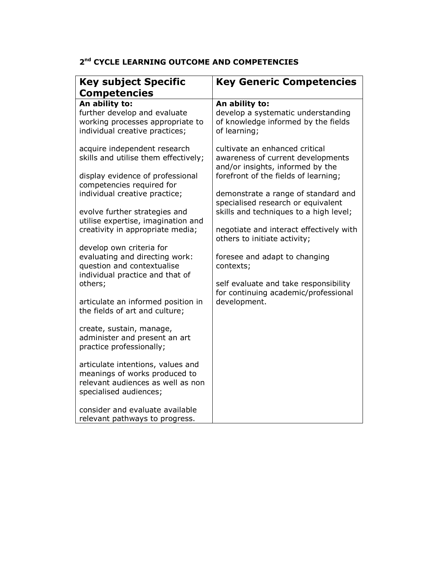### 2<sup>nd</sup> CYCLE LEARNING OUTCOME AND COMPETENCIES

| <b>Key subject Specific</b><br><b>Competencies</b>                                                                                       | <b>Key Generic Competencies</b>                                                                                                                                                                |
|------------------------------------------------------------------------------------------------------------------------------------------|------------------------------------------------------------------------------------------------------------------------------------------------------------------------------------------------|
| An ability to:<br>further develop and evaluate<br>working processes appropriate to<br>individual creative practices;                     | An ability to:<br>develop a systematic understanding<br>of knowledge informed by the fields<br>of learning;                                                                                    |
| acquire independent research<br>skills and utilise them effectively;<br>display evidence of professional<br>competencies required for    | cultivate an enhanced critical<br>awareness of current developments<br>and/or insights, informed by the<br>forefront of the fields of learning;                                                |
| individual creative practice;<br>evolve further strategies and<br>utilise expertise, imagination and<br>creativity in appropriate media; | demonstrate a range of standard and<br>specialised research or equivalent<br>skills and techniques to a high level;<br>negotiate and interact effectively with<br>others to initiate activity; |
| develop own criteria for<br>evaluating and directing work:<br>question and contextualise<br>individual practice and that of<br>others;   | foresee and adapt to changing<br>contexts;<br>self evaluate and take responsibility                                                                                                            |
| articulate an informed position in<br>the fields of art and culture;                                                                     | for continuing academic/professional<br>development.                                                                                                                                           |
| create, sustain, manage,<br>administer and present an art<br>practice professionally;                                                    |                                                                                                                                                                                                |
| articulate intentions, values and<br>meanings of works produced to<br>relevant audiences as well as non<br>specialised audiences;        |                                                                                                                                                                                                |
| consider and evaluate available<br>relevant pathways to progress.                                                                        |                                                                                                                                                                                                |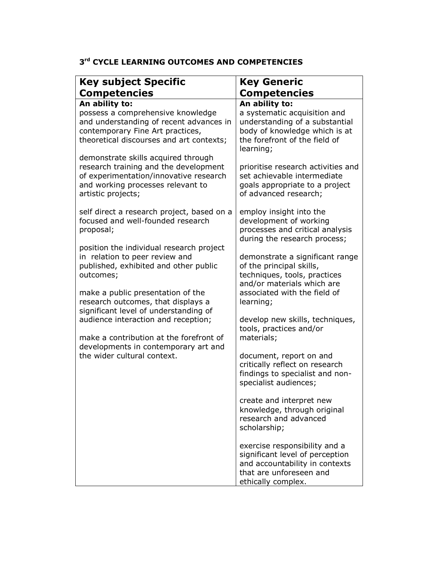## 3<sup>rd</sup> CYCLE LEARNING OUTCOMES AND COMPETENCIES

| <b>Key subject Specific</b>                                                                                                                                                                                 | <b>Key Generic</b>                                                                                                                                                     |
|-------------------------------------------------------------------------------------------------------------------------------------------------------------------------------------------------------------|------------------------------------------------------------------------------------------------------------------------------------------------------------------------|
| <b>Competencies</b>                                                                                                                                                                                         | <b>Competencies</b>                                                                                                                                                    |
| An ability to:                                                                                                                                                                                              | An ability to:                                                                                                                                                         |
| possess a comprehensive knowledge<br>and understanding of recent advances in<br>contemporary Fine Art practices,<br>theoretical discourses and art contexts;<br>demonstrate skills acquired through         | a systematic acquisition and<br>understanding of a substantial<br>body of knowledge which is at<br>the forefront of the field of<br>learning;                          |
| research training and the development<br>of experimentation/innovative research<br>and working processes relevant to<br>artistic projects;                                                                  | prioritise research activities and<br>set achievable intermediate<br>goals appropriate to a project<br>of advanced research;                                           |
| self direct a research project, based on a<br>focused and well-founded research<br>proposal;                                                                                                                | employ insight into the<br>development of working<br>processes and critical analysis<br>during the research process;                                                   |
| position the individual research project<br>in relation to peer review and<br>published, exhibited and other public<br>outcomes;<br>make a public presentation of the<br>research outcomes, that displays a | demonstrate a significant range<br>of the principal skills,<br>techniques, tools, practices<br>and/or materials which are<br>associated with the field of<br>learning; |
| significant level of understanding of<br>audience interaction and reception;<br>make a contribution at the forefront of                                                                                     | develop new skills, techniques,<br>tools, practices and/or<br>materials;                                                                                               |
| developments in contemporary art and<br>the wider cultural context.                                                                                                                                         | document, report on and<br>critically reflect on research<br>findings to specialist and non-<br>specialist audiences;                                                  |
|                                                                                                                                                                                                             | create and interpret new<br>knowledge, through original<br>research and advanced<br>scholarship;                                                                       |
|                                                                                                                                                                                                             | exercise responsibility and a<br>significant level of perception<br>and accountability in contexts<br>that are unforeseen and<br>ethically complex.                    |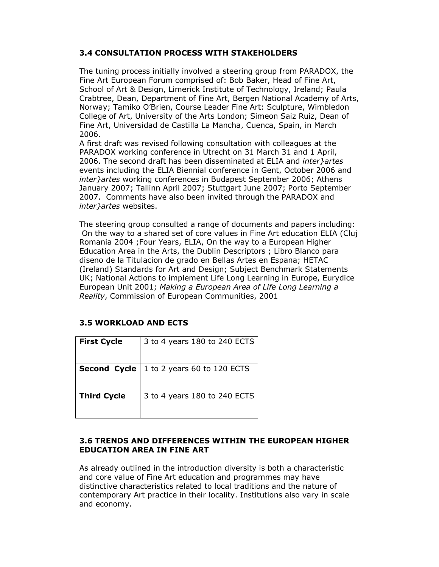## 3.4 CONSULTATION PROCESS WITH STAKEHOLDERS

The tuning process initially involved a steering group from PARADOX, the Fine Art European Forum comprised of: Bob Baker, Head of Fine Art, School of Art & Design, Limerick Institute of Technology, Ireland; Paula Crabtree, Dean, Department of Fine Art, Bergen National Academy of Arts, Norway; Tamiko O'Brien, Course Leader Fine Art: Sculpture, Wimbledon College of Art, University of the Arts London; Simeon Saiz Ruiz, Dean of Fine Art, Universidad de Castilla La Mancha, Cuenca, Spain, in March 2006.

A first draft was revised following consultation with colleagues at the PARADOX working conference in Utrecht on 31 March 31 and 1 April, 2006. The second draft has been disseminated at ELIA and inter}artes events including the ELIA Biennial conference in Gent, October 2006 and inter}artes working conferences in Budapest September 2006; Athens January 2007; Tallinn April 2007; Stuttgart June 2007; Porto September 2007. Comments have also been invited through the PARADOX and inter}artes websites.

The steering group consulted a range of documents and papers including: On the way to a shared set of core values in Fine Art education ELIA (Cluj Romania 2004 ;Four Years, ELIA, On the way to a European Higher Education Area in the Arts, the Dublin Descriptors ; Libro Blanco para diseno de la Titulacion de grado en Bellas Artes en Espana; HETAC (Ireland) Standards for Art and Design; Subject Benchmark Statements UK; National Actions to implement Life Long Learning in Europe, Eurydice European Unit 2001; Making a European Area of Life Long Learning a Reality, Commission of European Communities, 2001

## 3.5 WORKLOAD AND ECTS

| <b>First Cycle</b> | 3 to 4 years 180 to 240 ECTS |
|--------------------|------------------------------|
| Second Cycle       | 1 to 2 years 60 to 120 ECTS  |
| <b>Third Cycle</b> | 3 to 4 years 180 to 240 ECTS |

#### 3.6 TRENDS AND DIFFERENCES WITHIN THE EUROPEAN HIGHER EDUCATION AREA IN FINE ART

As already outlined in the introduction diversity is both a characteristic and core value of Fine Art education and programmes may have distinctive characteristics related to local traditions and the nature of contemporary Art practice in their locality. Institutions also vary in scale and economy.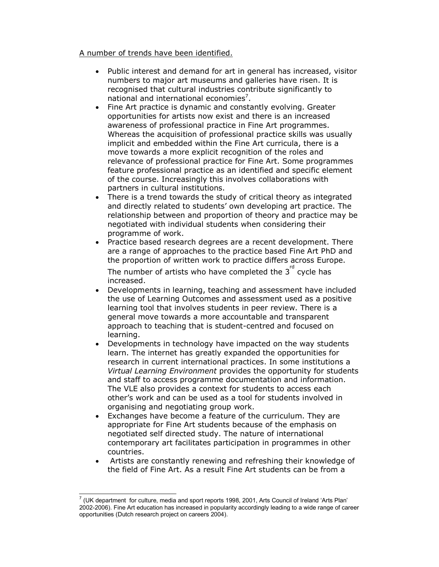A number of trends have been identified.

- Public interest and demand for art in general has increased, visitor numbers to major art museums and galleries have risen. It is recognised that cultural industries contribute significantly to national and international economies<sup>7</sup>.
- Fine Art practice is dynamic and constantly evolving. Greater opportunities for artists now exist and there is an increased awareness of professional practice in Fine Art programmes. Whereas the acquisition of professional practice skills was usually implicit and embedded within the Fine Art curricula, there is a move towards a more explicit recognition of the roles and relevance of professional practice for Fine Art. Some programmes feature professional practice as an identified and specific element of the course. Increasingly this involves collaborations with partners in cultural institutions.
- There is a trend towards the study of critical theory as integrated and directly related to students' own developing art practice. The relationship between and proportion of theory and practice may be negotiated with individual students when considering their programme of work.
- Practice based research degrees are a recent development. There are a range of approaches to the practice based Fine Art PhD and the proportion of written work to practice differs across Europe. The number of artists who have completed the  $3^{rd}$  cycle has increased.
- Developments in learning, teaching and assessment have included the use of Learning Outcomes and assessment used as a positive learning tool that involves students in peer review. There is a general move towards a more accountable and transparent approach to teaching that is student-centred and focused on learning.
- Developments in technology have impacted on the way students learn. The internet has greatly expanded the opportunities for research in current international practices. In some institutions a Virtual Learning Environment provides the opportunity for students and staff to access programme documentation and information. The VLE also provides a context for students to access each other's work and can be used as a tool for students involved in organising and negotiating group work.
- Exchanges have become a feature of the curriculum. They are appropriate for Fine Art students because of the emphasis on negotiated self directed study. The nature of international contemporary art facilitates participation in programmes in other countries.
- Artists are constantly renewing and refreshing their knowledge of the field of Fine Art. As a result Fine Art students can be from a

 $<sup>7</sup>$  (UK department for culture, media and sport reports 1998, 2001, Arts Council of Ireland 'Arts Plan'</sup> 2002-2006). Fine Art education has increased in popularity accordingly leading to a wide range of career opportunities (Dutch research project on careers 2004).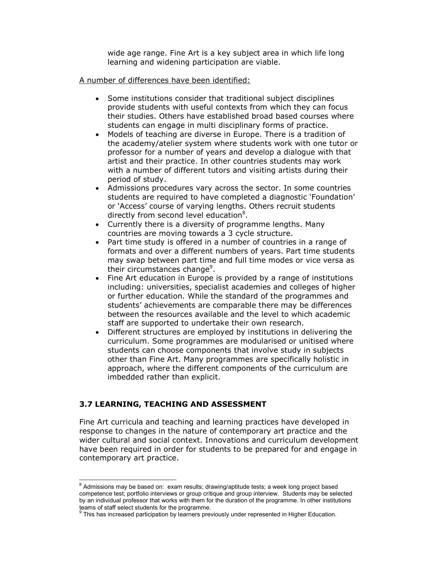wide age range. Fine Art is a key subject area in which life long learning and widening participation are viable.

#### A number of differences have been identified:

- Some institutions consider that traditional subject disciplines provide students with useful contexts from which they can focus their studies. Others have established broad based courses where students can engage in multi disciplinary forms of practice.
- Models of teaching are diverse in Europe. There is a tradition of the academy/atelier system where students work with one tutor or professor for a number of years and develop a dialogue with that artist and their practice. In other countries students may work with a number of different tutors and visiting artists during their period of study.
- Admissions procedures vary across the sector. In some countries students are required to have completed a diagnostic 'Foundation' or 'Access' course of varying lengths. Others recruit students directly from second level education<sup>8</sup>.
- Currently there is a diversity of programme lengths. Many countries are moving towards a 3 cycle structure.
- Part time study is offered in a number of countries in a range of formats and over a different numbers of years. Part time students may swap between part time and full time modes or vice versa as their circumstances change<sup>9</sup>.
- Fine Art education in Europe is provided by a range of institutions including: universities, specialist academies and colleges of higher or further education. While the standard of the programmes and students' achievements are comparable there may be differences between the resources available and the level to which academic staff are supported to undertake their own research.
- Different structures are employed by institutions in delivering the curriculum. Some programmes are modularised or unitised where students can choose components that involve study in subjects other than Fine Art. Many programmes are specifically holistic in approach, where the different components of the curriculum are imbedded rather than explicit.

#### 3.7 LEARNING, TEACHING AND ASSESSMENT

 $\overline{a}$ 

Fine Art curricula and teaching and learning practices have developed in response to changes in the nature of contemporary art practice and the wider cultural and social context. Innovations and curriculum development have been required in order for students to be prepared for and engage in contemporary art practice.

 $^8$  Admissions may be based on: exam results; drawing/aptitude tests; a week long project based competence test; portfolio interviews or group critique and group interview. Students may be selected by an individual professor that works with them for the duration of the programme. In other institutions

teams of staff select students for the programme.<br><sup>9</sup> This has increased participation by learners previously under represented in Higher Education.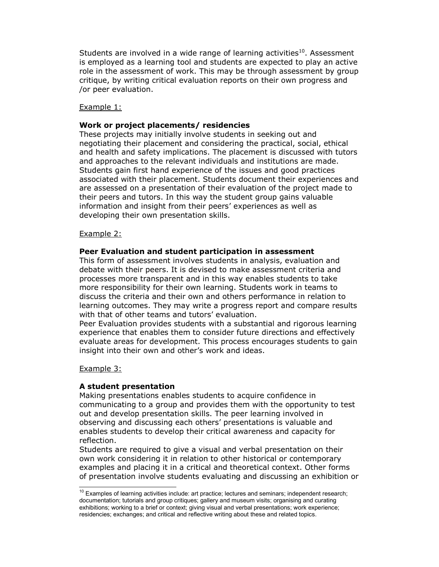Students are involved in a wide range of learning activities $10$ . Assessment is employed as a learning tool and students are expected to play an active role in the assessment of work. This may be through assessment by group critique, by writing critical evaluation reports on their own progress and /or peer evaluation.

#### Example 1:

#### Work or project placements/ residencies

These projects may initially involve students in seeking out and negotiating their placement and considering the practical, social, ethical and health and safety implications. The placement is discussed with tutors and approaches to the relevant individuals and institutions are made. Students gain first hand experience of the issues and good practices associated with their placement. Students document their experiences and are assessed on a presentation of their evaluation of the project made to their peers and tutors. In this way the student group gains valuable information and insight from their peers' experiences as well as developing their own presentation skills.

#### Example 2:

#### Peer Evaluation and student participation in assessment

This form of assessment involves students in analysis, evaluation and debate with their peers. It is devised to make assessment criteria and processes more transparent and in this way enables students to take more responsibility for their own learning. Students work in teams to discuss the criteria and their own and others performance in relation to learning outcomes. They may write a progress report and compare results with that of other teams and tutors' evaluation.

Peer Evaluation provides students with a substantial and rigorous learning experience that enables them to consider future directions and effectively evaluate areas for development. This process encourages students to gain insight into their own and other's work and ideas.

#### Example 3:

 $\overline{a}$ 

#### A student presentation

Making presentations enables students to acquire confidence in communicating to a group and provides them with the opportunity to test out and develop presentation skills. The peer learning involved in observing and discussing each others' presentations is valuable and enables students to develop their critical awareness and capacity for reflection.

Students are required to give a visual and verbal presentation on their own work considering it in relation to other historical or contemporary examples and placing it in a critical and theoretical context. Other forms of presentation involve students evaluating and discussing an exhibition or

 $10$  Examples of learning activities include: art practice; lectures and seminars; independent research; documentation; tutorials and group critiques; gallery and museum visits; organising and curating exhibitions; working to a brief or context; giving visual and verbal presentations; work experience; residencies; exchanges; and critical and reflective writing about these and related topics.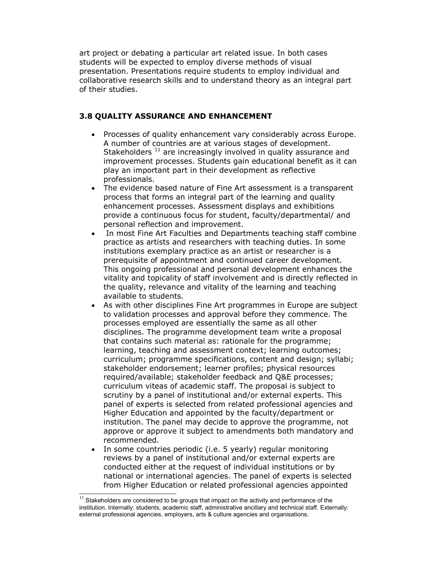art project or debating a particular art related issue. In both cases students will be expected to employ diverse methods of visual presentation. Presentations require students to employ individual and collaborative research skills and to understand theory as an integral part of their studies.

## 3.8 QUALITY ASSURANCE AND ENHANCEMENT

- Processes of quality enhancement vary considerably across Europe. A number of countries are at various stages of development. Stakeholders  $11$  are increasingly involved in quality assurance and improvement processes. Students gain educational benefit as it can play an important part in their development as reflective professionals.
- The evidence based nature of Fine Art assessment is a transparent process that forms an integral part of the learning and quality enhancement processes. Assessment displays and exhibitions provide a continuous focus for student, faculty/departmental/ and personal reflection and improvement.
- In most Fine Art Faculties and Departments teaching staff combine practice as artists and researchers with teaching duties. In some institutions exemplary practice as an artist or researcher is a prerequisite of appointment and continued career development. This ongoing professional and personal development enhances the vitality and topicality of staff involvement and is directly reflected in the quality, relevance and vitality of the learning and teaching available to students.
- As with other disciplines Fine Art programmes in Europe are subject to validation processes and approval before they commence. The processes employed are essentially the same as all other disciplines. The programme development team write a proposal that contains such material as: rationale for the programme; learning, teaching and assessment context; learning outcomes; curriculum; programme specifications, content and design; syllabi; stakeholder endorsement; learner profiles; physical resources required/available; stakeholder feedback and Q&E processes; curriculum viteas of academic staff. The proposal is subject to scrutiny by a panel of institutional and/or external experts. This panel of experts is selected from related professional agencies and Higher Education and appointed by the faculty/department or institution. The panel may decide to approve the programme, not approve or approve it subject to amendments both mandatory and recommended.
- In some countries periodic (i.e. 5 yearly) regular monitoring reviews by a panel of institutional and/or external experts are conducted either at the request of individual institutions or by national or international agencies. The panel of experts is selected from Higher Education or related professional agencies appointed

 $11$  Stakeholders are considered to be groups that impact on the activity and performance of the institution. Internally: students, academic staff, administrative ancillary and technical staff. Externally: external professional agencies, employers, arts & culture agencies and organisations.